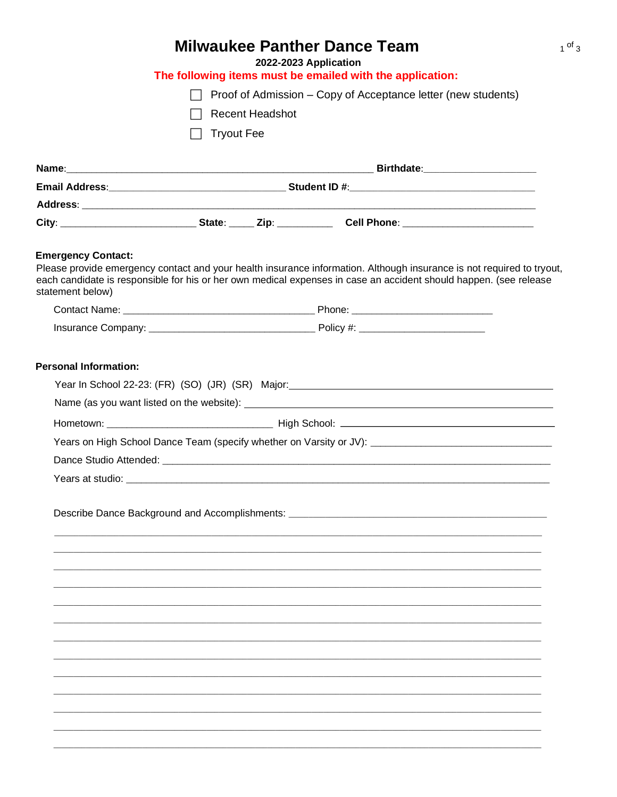| <b>Milwaukee Panther Dance Team</b><br>2022-2023 Application |                   |                 |                                                                                                                   |  |
|--------------------------------------------------------------|-------------------|-----------------|-------------------------------------------------------------------------------------------------------------------|--|
|                                                              |                   |                 | The following items must be emailed with the application:                                                         |  |
|                                                              |                   |                 | Proof of Admission – Copy of Acceptance letter (new students)                                                     |  |
|                                                              |                   | Recent Headshot |                                                                                                                   |  |
|                                                              | <b>Tryout Fee</b> |                 |                                                                                                                   |  |
|                                                              |                   |                 |                                                                                                                   |  |
|                                                              |                   |                 |                                                                                                                   |  |
|                                                              |                   |                 |                                                                                                                   |  |
|                                                              |                   |                 |                                                                                                                   |  |
|                                                              |                   |                 | City: ____________________________State: _____ Zip: ___________ Cell Phone: _______________________               |  |
| statement below)                                             |                   |                 | each candidate is responsible for his or her own medical expenses in case an accident should happen. (see release |  |
|                                                              |                   |                 |                                                                                                                   |  |
|                                                              |                   |                 | Years on High School Dance Team (specify whether on Varsity or JV): ________________________________              |  |
|                                                              |                   |                 |                                                                                                                   |  |
|                                                              |                   |                 |                                                                                                                   |  |
|                                                              |                   |                 | Describe Dance Background and Accomplishments: _________________________________                                  |  |
|                                                              |                   |                 |                                                                                                                   |  |
|                                                              |                   |                 |                                                                                                                   |  |
|                                                              |                   |                 |                                                                                                                   |  |
|                                                              |                   |                 |                                                                                                                   |  |
|                                                              |                   |                 |                                                                                                                   |  |
|                                                              |                   |                 |                                                                                                                   |  |
|                                                              |                   |                 |                                                                                                                   |  |
|                                                              |                   |                 |                                                                                                                   |  |
|                                                              |                   |                 |                                                                                                                   |  |
|                                                              |                   |                 |                                                                                                                   |  |
|                                                              |                   |                 |                                                                                                                   |  |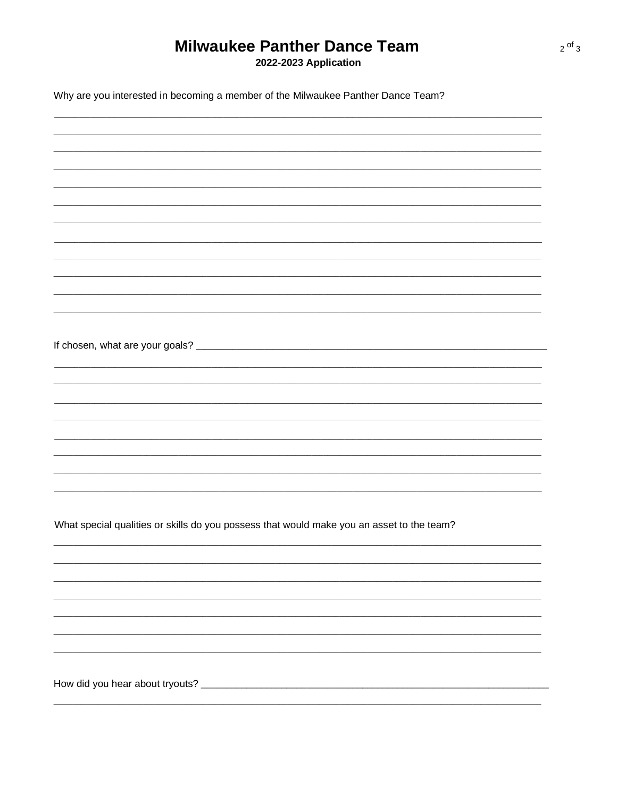## **Milwaukee Panther Dance Team**

2022-2023 Application

| Why are you interested in becoming a member of the Milwaukee Panther Dance Team?          |  |  |  |  |
|-------------------------------------------------------------------------------------------|--|--|--|--|
|                                                                                           |  |  |  |  |
|                                                                                           |  |  |  |  |
|                                                                                           |  |  |  |  |
|                                                                                           |  |  |  |  |
|                                                                                           |  |  |  |  |
|                                                                                           |  |  |  |  |
|                                                                                           |  |  |  |  |
|                                                                                           |  |  |  |  |
|                                                                                           |  |  |  |  |
|                                                                                           |  |  |  |  |
|                                                                                           |  |  |  |  |
|                                                                                           |  |  |  |  |
|                                                                                           |  |  |  |  |
|                                                                                           |  |  |  |  |
|                                                                                           |  |  |  |  |
|                                                                                           |  |  |  |  |
|                                                                                           |  |  |  |  |
| What special qualities or skills do you possess that would make you an asset to the team? |  |  |  |  |
|                                                                                           |  |  |  |  |
|                                                                                           |  |  |  |  |
|                                                                                           |  |  |  |  |
|                                                                                           |  |  |  |  |
|                                                                                           |  |  |  |  |
|                                                                                           |  |  |  |  |
|                                                                                           |  |  |  |  |
|                                                                                           |  |  |  |  |